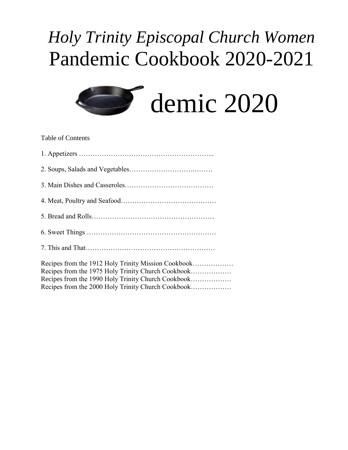# *Holy Trinity Episcopal Church Women* Pandemic Cookbook 2020-2021



Table of Contents

| Recipes from the 1912 Holy Trinity Mission Cookbook |
|-----------------------------------------------------|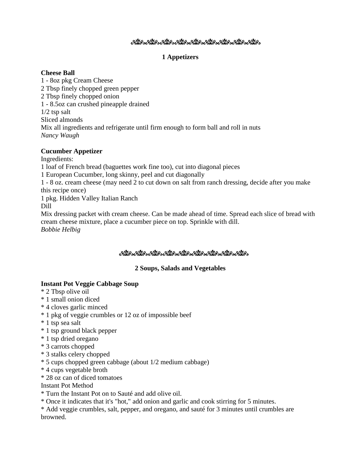## 

## **1 Appetizers**

## **Cheese Ball**

1 - 8oz pkg Cream Cheese 2 Tbsp finely chopped green pepper 2 Tbsp finely chopped onion 1 - 8.5oz can crushed pineapple drained 1/2 tsp salt Sliced almonds Mix all ingredients and refrigerate until firm enough to form ball and roll in nuts *Nancy Waugh*

## **Cucumber Appetizer**

Ingredients:

1 loaf of French bread (baguettes work fine too), cut into diagonal pieces

1 European Cucumber, long skinny, peel and cut diagonally

1 - 8 oz. cream cheese (may need 2 to cut down on salt from ranch dressing, decide after you make this recipe once)

1 pkg. Hidden Valley Italian Ranch

Dill

Mix dressing packet with cream cheese. Can be made ahead of time. Spread each slice of bread with cream cheese mixture, place a cucumber piece on top. Sprinkle with dill. *Bobbie Helbig*

## وكفائره وكقار وكفور وكالته ومقاربه وكقار وكقاربو والأنار

## **2 Soups, Salads and Vegetables**

## **Instant Pot Veggie Cabbage Soup**

- \* 2 Tbsp olive oil
- \* 1 small onion diced
- \* 4 cloves garlic minced
- \* 1 pkg of veggie crumbles or 12 oz of impossible beef
- \* 1 tsp sea salt
- \* 1 tsp ground black pepper
- \* 1 tsp dried oregano
- \* 3 carrots chopped
- \* 3 stalks celery chopped
- \* 5 cups chopped green cabbage (about 1/2 medium cabbage)
- \* 4 cups vegetable broth
- \* 28 oz can of diced tomatoes

## Instant Pot Method

- \* Turn the Instant Pot on to Sauté and add olive oil.
- \* Once it indicates that it's "hot," add onion and garlic and cook stirring for 5 minutes.
- \* Add veggie crumbles, salt, pepper, and oregano, and sauté for 3 minutes until crumbles are browned.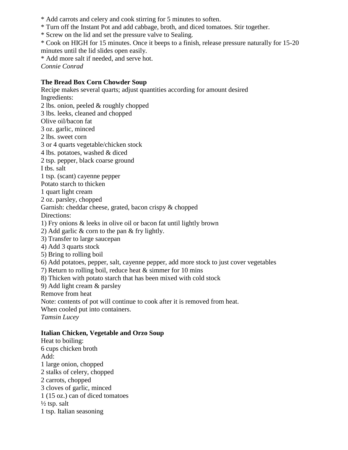- \* Add carrots and celery and cook stirring for 5 minutes to soften.
- \* Turn off the Instant Pot and add cabbage, broth, and diced tomatoes. Stir together.
- \* Screw on the lid and set the pressure valve to Sealing.

\* Cook on HIGH for 15 minutes. Once it beeps to a finish, release pressure naturally for 15-20 minutes until the lid slides open easily.

\* Add more salt if needed, and serve hot.

*Connie Conrad*

## **The Bread Box Corn Chowder Soup**

Recipe makes several quarts; adjust quantities according for amount desired Ingredients: 2 lbs. onion, peeled & roughly chopped 3 lbs. leeks, cleaned and chopped

Olive oil/bacon fat

3 oz. garlic, minced

2 lbs. sweet corn

3 or 4 quarts vegetable/chicken stock

- 4 lbs. potatoes, washed & diced
- 2 tsp. pepper, black coarse ground

I tbs. salt

- 1 tsp. (scant) cayenne pepper
- Potato starch to thicken
- 1 quart light cream
- 2 oz. parsley, chopped
- Garnish: cheddar cheese, grated, bacon crispy & chopped

Directions:

- 1) Fry onions & leeks in olive oil or bacon fat until lightly brown
- 2) Add garlic & corn to the pan & fry lightly.
- 3) Transfer to large saucepan
- 4) Add 3 quarts stock
- 5) Bring to rolling boil
- 6) Add potatoes, pepper, salt, cayenne pepper, add more stock to just cover vegetables
- 7) Return to rolling boil, reduce heat & simmer for 10 mins
- 8) Thicken with potato starch that has been mixed with cold stock
- 9) Add light cream & parsley

Remove from heat

Note: contents of pot will continue to cook after it is removed from heat.

When cooled put into containers.

*Tamsin Lucey*

## **Italian Chicken, Vegetable and Orzo Soup**

Heat to boiling: 6 cups chicken broth Add: 1 large onion, chopped 2 stalks of celery, chopped 2 carrots, chopped 3 cloves of garlic, minced 1 (15 oz.) can of diced tomatoes  $\frac{1}{2}$  tsp. salt 1 tsp. Italian seasoning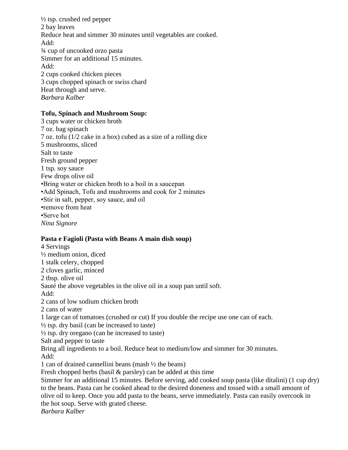$\frac{1}{2}$  tsp. crushed red pepper 2 bay leaves Reduce heat and simmer 30 minutes until vegetables are cooked. Add: ¾ cup of uncooked orzo pasta Simmer for an additional 15 minutes. Add: 2 cups cooked chicken pieces 3 cups chopped spinach or swiss chard Heat through and serve. *Barbara Kalber*

#### **Tofu, Spinach and Mushroom Soup:**

3 cups water or chicken broth 7 oz. bag spinach 7 oz. tofu (1/2 cake in a box) cubed as a size of a rolling dice 5 mushrooms, sliced Salt to taste Fresh ground pepper 1 tsp. soy sauce Few drops olive oil •Bring water or chicken broth to a boil in a saucepan •Add Spinach, Tofu and mushrooms and cook for 2 minutes •Stir in salt, pepper, soy sauce, and oil •remove from heat •Serve hot *Nina Signore*

#### **Pasta e Fagioli (Pasta with Beans A main dish soup)**

4 Servings ½ medium onion, diced 1 stalk celery, chopped 2 cloves garlic, minced 2 tbsp. olive oil Sauté the above vegetables in the olive oil in a soup pan until soft. Add: 2 cans of low sodium chicken broth 2 cans of water 1 large can of tomatoes (crushed or cut) If you double the recipe use one can of each.  $\frac{1}{2}$  tsp. dry basil (can be increased to taste)  $\frac{1}{2}$  tsp. dry oregano (can be increased to taste) Salt and pepper to taste Bring all ingredients to a boil. Reduce heat to medium/low and simmer for 30 minutes. Add: 1 can of drained cannellini beans (mash ½ the beans) Fresh chopped herbs (basil & parsley) can be added at this time Simmer for an additional 15 minutes. Before serving, add cooked soup pasta (like ditalini) (1 cup dry) to the beans. Pasta can be cooked ahead to the desired doneness and tossed with a small amount of olive oil to keep. Once you add pasta to the beans, serve immediately. Pasta can easily overcook in the hot soup. Serve with grated cheese. *Barbara Kalber*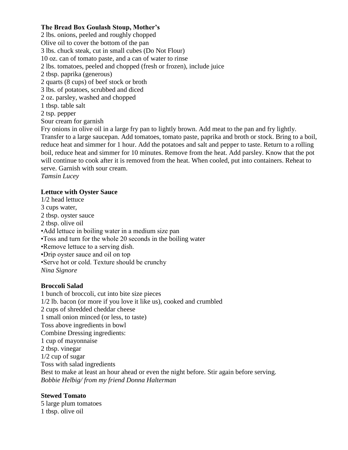## **The Bread Box Goulash Stoup, Mother's**

2 lbs. onions, peeled and roughly chopped Olive oil to cover the bottom of the pan 3 lbs. chuck steak, cut in small cubes (Do Not Flour) 10 oz. can of tomato paste, and a can of water to rinse 2 lbs. tomatoes, peeled and chopped (fresh or frozen), include juice 2 tbsp. paprika (generous) 2 quarts (8 cups) of beef stock or broth 3 lbs. of potatoes, scrubbed and diced 2 oz. parsley, washed and chopped 1 tbsp. table salt 2 tsp. pepper Sour cream for garnish Fry onions in olive oil in a large fry pan to lightly brown. Add meat to the pan and fry lightly.

Transfer to a large saucepan. Add tomatoes, tomato paste, paprika and broth or stock. Bring to a boil, reduce heat and simmer for 1 hour. Add the potatoes and salt and pepper to taste. Return to a rolling boil, reduce heat and simmer for 10 minutes. Remove from the heat. Add parsley. Know that the pot will continue to cook after it is removed from the heat. When cooled, put into containers. Reheat to serve. Garnish with sour cream.

*Tamsin Lucey*

## **Lettuce with Oyster Sauce**

1/2 head lettuce 3 cups water, 2 tbsp. oyster sauce 2 tbsp. olive oil •Add lettuce in boiling water in a medium size pan •Toss and turn for the whole 20 seconds in the boiling water •Remove lettuce to a serving dish. •Drip oyster sauce and oil on top •Serve hot or cold. Texture should be crunchy *Nina Signore*

## **Broccoli Salad**

1 bunch of broccoli, cut into bite size pieces 1/2 lb. bacon (or more if you love it like us), cooked and crumbled 2 cups of shredded cheddar cheese 1 small onion minced (or less, to taste) Toss above ingredients in bowl Combine Dressing ingredients: 1 cup of mayonnaise 2 tbsp. vinegar 1/2 cup of sugar Toss with salad ingredients Best to make at least an hour ahead or even the night before. Stir again before serving. *Bobbie Helbig/ from my friend Donna Halterman*

## **Stewed Tomato**

5 large plum tomatoes 1 tbsp. olive oil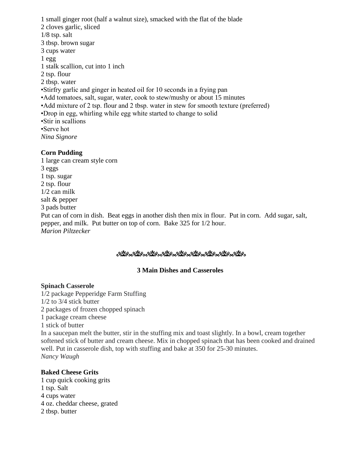1 small ginger root (half a walnut size), smacked with the flat of the blade 2 cloves garlic, sliced 1/8 tsp. salt 3 tbsp. brown sugar 3 cups water  $1$  egg 1 stalk scallion, cut into 1 inch 2 tsp. flour 2 tbsp. water •Stirfry garlic and ginger in heated oil for 10 seconds in a frying pan •Add tomatoes, salt, sugar, water, cook to stew/mushy or about 15 minutes •Add mixture of 2 tsp. flour and 2 tbsp. water in stew for smooth texture (preferred) •Drop in egg, whirling while egg white started to change to solid •Stir in scallions •Serve hot *Nina Signore* **Corn Pudding**

1 large can cream style corn 3 eggs 1 tsp. sugar 2 tsp. flour 1/2 can milk salt & pepper 3 pads butter Put can of corn in dish. Beat eggs in another dish then mix in flour. Put in corn. Add sugar, salt, pepper, and milk. Put butter on top of corn. Bake 325 for 1/2 hour. *Marion Piltzecker*

#### ಿಯೊ ಬೆಟ್ಟುಬ್ಬಿಟ್ಟು ಬೆಟ್ಟುಬ್ಬಿಟ್ ಬೆಟ್ಟುಬ್ಬಿಟ್ಟು ಬೆಟ್ಟುಬ್ಬಿಟ್ಟು

#### **3 Main Dishes and Casseroles**

#### **Spinach Casserole**

1/2 package Pepperidge Farm Stuffing 1/2 to 3/4 stick butter 2 packages of frozen chopped spinach 1 package cream cheese 1 stick of butter In a saucepan melt the butter, stir in the stuffing mix and toast slightly. In a bowl, cream together softened stick of butter and cream cheese. Mix in chopped spinach that has been cooked and drained well. Put in casserole dish, top with stuffing and bake at 350 for 25-30 minutes. *Nancy Waugh*

#### **Baked Cheese Grits**

1 cup quick cooking grits 1 tsp. Salt 4 cups water 4 oz. cheddar cheese, grated 2 tbsp. butter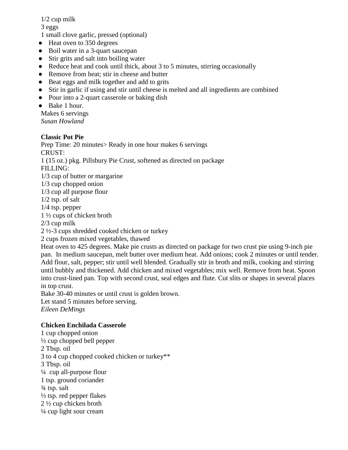## 1/2 cup milk

3 eggs

- 1 small clove garlic, pressed (optional)
- Heat oven to 350 degrees
- Boil water in a 3-quart saucepan
- Stir grits and salt into boiling water
- Reduce heat and cook until thick, about 3 to 5 minutes, stirring occasionally
- Remove from heat; stir in cheese and butter
- Beat eggs and milk together and add to grits
- Stir in garlic if using and stir until cheese is melted and all ingredients are combined
- Pour into a 2-quart casserole or baking dish
- Bake 1 hour.

Makes 6 servings *Susan Howland*

# **Classic Pot Pie**

Prep Time: 20 minutes> Ready in one hour makes 6 servings CRUST: 1 (15 oz.) pkg. Pillsbury Pie Crust, softened as directed on package FILLING: 1/3 cup of butter or margarine 1/3 cup chopped onion 1/3 cup all purpose flour 1/2 tsp. of salt 1/4 tsp. pepper 1 ½ cups of chicken broth 2/3 cup milk 2 ½-3 cups shredded cooked chicken or turkey 2 cups frozen mixed vegetables, thawed Heat oven to 425 degrees. Make pie crusts as directed on package for two crust pie using 9-inch pie pan. In medium saucepan, melt butter over medium heat. Add onions; cook 2 minutes or until tender. Add flour, salt, pepper; stir until well blended. Gradually stir in broth and milk, cooking and stirring until bubbly and thickened. Add chicken and mixed vegetables; mix well. Remove from heat. Spoon into crust-lined pan. Top with second crust, seal edges and flute. Cut slits or shapes in several places in top crust.

Bake 30-40 minutes or until crust is golden brown.

Let stand 5 minutes before serving. *Eileen DeMings*

# **Chicken Enchilada Casserole**

1 cup chopped onion ½ cup chopped bell pepper 2 Tbsp. oil 3 to 4 cup chopped cooked chicken or turkey\*\* 3 Tbsp. oil ¼ cup all-purpose flour 1 tsp. ground coriander ¾ tsp. salt  $\frac{1}{2}$  tsp. red pepper flakes 2 ½ cup chicken broth ¼ cup light sour cream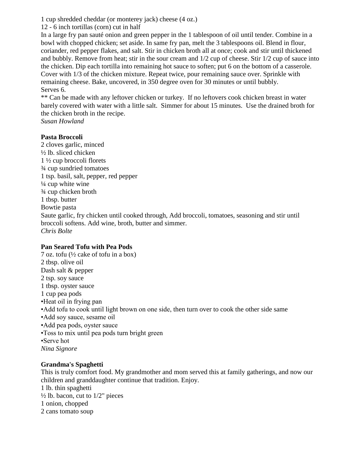1 cup shredded cheddar (or monterey jack) cheese (4 oz.)

12 - 6 inch tortillas (corn) cut in half

In a large fry pan sauté onion and green pepper in the 1 tablespoon of oil until tender. Combine in a bowl with chopped chicken; set aside. In same fry pan, melt the 3 tablespoons oil. Blend in flour, coriander, red pepper flakes, and salt. Stir in chicken broth all at once; cook and stir until thickened and bubbly. Remove from heat; stir in the sour cream and 1/2 cup of cheese. Stir 1/2 cup of sauce into the chicken. Dip each tortilla into remaining hot sauce to soften; put 6 on the bottom of a casserole. Cover with 1/3 of the chicken mixture. Repeat twice, pour remaining sauce over. Sprinkle with remaining cheese. Bake, uncovered, in 350 degree oven for 30 minutes or until bubbly. Serves 6.

\*\* Can be made with any leftover chicken or turkey. If no leftovers cook chicken breast in water barely covered with water with a little salt. Simmer for about 15 minutes. Use the drained broth for the chicken broth in the recipe.

*Susan Howland*

## **Pasta Broccoli**

2 cloves garlic, minced ½ lb. sliced chicken 1 ½ cup broccoli florets ¾ cup sundried tomatoes 1 tsp. basil, salt, pepper, red pepper  $\frac{1}{4}$  cup white wine ¾ cup chicken broth 1 tbsp. butter Bowtie pasta Saute garlic, fry chicken until cooked through, Add broccoli, tomatoes, seasoning and stir until broccoli softens. Add wine, broth, butter and simmer. *Chris Bolte*

## **Pan Seared Tofu with Pea Pods**

7 oz. tofu (½ cake of tofu in a box) 2 tbsp. olive oil Dash salt & pepper 2 tsp. soy sauce 1 tbsp. oyster sauce 1 cup pea pods •Heat oil in frying pan •Add tofu to cook until light brown on one side, then turn over to cook the other side same •Add soy sauce, sesame oil •Add pea pods, oyster sauce •Toss to mix until pea pods turn bright green •Serve hot *Nina Signore*

# **Grandma's Spaghetti**

This is truly comfort food. My grandmother and mom served this at family gatherings, and now our children and granddaughter continue that tradition. Enjoy. 1 lb. thin spaghetti

 $\frac{1}{2}$  lb. bacon, cut to  $1/2$ " pieces 1 onion, chopped

2 cans tomato soup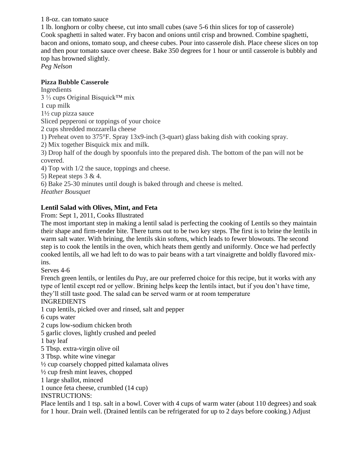1 8-oz. can tomato sauce

1 lb. longhorn or colby cheese, cut into small cubes (save 5-6 thin slices for top of casserole) Cook spaghetti in salted water. Fry bacon and onions until crisp and browned. Combine spaghetti, bacon and onions, tomato soup, and cheese cubes. Pour into casserole dish. Place cheese slices on top and then pour tomato sauce over cheese. Bake 350 degrees for 1 hour or until casserole is bubbly and top has browned slightly.

*Peg Nelson*

## **Pizza Bubble Casserole**

Ingredients 3 ⅓ cups Original Bisquick™ mix 1 cup milk 1½ cup pizza sauce Sliced pepperoni or toppings of your choice 2 cups shredded mozzarella cheese 1) Preheat oven to 375°F. Spray 13x9-inch (3-quart) glass baking dish with cooking spray. 2) Mix together Bisquick mix and milk. 3) Drop half of the dough by spoonfuls into the prepared dish. The bottom of the pan will not be covered. 4) Top with 1/2 the sauce, toppings and cheese. 5) Repeat steps 3 & 4. 6) Bake 25-30 minutes until dough is baked through and cheese is melted. *Heather Bousquet*

# **Lentil Salad with Olives, Mint, and Feta**

From: Sept 1, 2011, Cooks Illustrated

The most important step in making a lentil salad is perfecting the cooking of Lentils so they maintain their shape and firm-tender bite. There turns out to be two key steps. The first is to brine the lentils in warm salt water. With brining, the lentils skin softens, which leads to fewer blowouts. The second step is to cook the lentils in the oven, which heats them gently and uniformly. Once we had perfectly cooked lentils, all we had left to do was to pair beans with a tart vinaigrette and boldly flavored mixins.

Serves 4-6

French green lentils, or lentiles du Puy, are our preferred choice for this recipe, but it works with any type of lentil except red or yellow. Brining helps keep the lentils intact, but if you don't have time, they'll still taste good. The salad can be served warm or at room temperature

## INGREDIENTS

1 cup lentils, picked over and rinsed, salt and pepper

6 cups water

2 cups low-sodium chicken broth

5 garlic cloves, lightly crushed and peeled

1 bay leaf

5 Tbsp. extra-virgin olive oil

3 Tbsp. white wine vinegar

½ cup coarsely chopped pitted kalamata olives

½ cup fresh mint leaves, chopped

1 large shallot, minced

1 ounce feta cheese, crumbled (14 cup)

INSTRUCTIONS:

Place lentils and 1 tsp. salt in a bowl. Cover with 4 cups of warm water (about 110 degrees) and soak for 1 hour. Drain well. (Drained lentils can be refrigerated for up to 2 days before cooking.) Adjust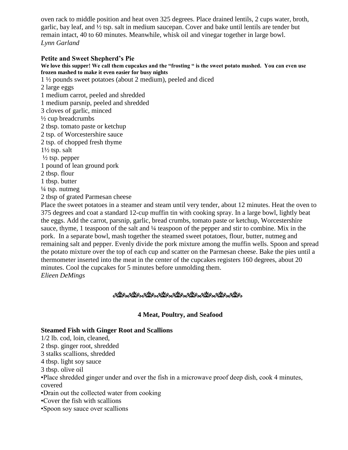oven rack to middle position and heat oven 325 degrees. Place drained lentils, 2 cups water, broth, garlic, bay leaf, and  $\frac{1}{2}$  tsp. salt in medium saucepan. Cover and bake until lentils are tender but remain intact, 40 to 60 minutes. Meanwhile, whisk oil and vinegar together in large bowl. *Lynn Garland*

#### **Petite and Sweet Shepherd's Pie**

**We love this supper! We call them cupcakes and the "frosting " is the sweet potato mashed. You can even use frozen mashed to make it even easier for busy nights**

1 ½ pounds sweet potatoes (about 2 medium), peeled and diced

- 2 large eggs 1 medium carrot, peeled and shredded
- 1 medium parsnip, peeled and shredded
- 3 cloves of garlic, minced
- ½ cup breadcrumbs
- 2 tbsp. tomato paste or ketchup
- 2 tsp. of Worcestershire sauce
- 2 tsp. of chopped fresh thyme
- 1½ tsp. salt
- $\frac{1}{2}$  tsp. pepper
- 1 pound of lean ground pork
- 2 tbsp. flour
- 1 tbsp. butter
- $\frac{1}{4}$  tsp. nutmeg
- 2 tbsp of grated Parmesan cheese

Place the sweet potatoes in a steamer and steam until very tender, about 12 minutes. Heat the oven to 375 degrees and coat a standard 12-cup muffin tin with cooking spray. In a large bowl, lightly beat the eggs. Add the carrot, parsnip, garlic, bread crumbs, tomato paste or ketchup, Worcestershire sauce, thyme, 1 teaspoon of the salt and  $\frac{1}{4}$  teaspoon of the pepper and stir to combine. Mix in the pork. In a separate bowl, mash together the steamed sweet potatoes, flour, butter, nutmeg and remaining salt and pepper. Evenly divide the pork mixture among the muffin wells. Spoon and spread the potato mixture over the top of each cup and scatter on the Parmesan cheese. Bake the pies until a thermometer inserted into the meat in the center of the cupcakes registers 160 degrees, about 20 minutes. Cool the cupcakes for 5 minutes before unmolding them. *Elieen DeMings*

## <u>ೊದಲ್ಲಿಂದಲ್ಲಿಂದಲ್ಲಿಂದಲ್ಲಿಂದಲ್ಲಿಂದಲ್ಲಿಂದಲ್ಲಿಂದಲ್ಲಿ</u>

## **4 Meat, Poultry, and Seafood**

## **Steamed Fish with Ginger Root and Scallions**

1/2 lb. cod, loin, cleaned,

2 tbsp. ginger root, shredded

3 stalks scallions, shredded

- 4 tbsp. light soy sauce
- 3 tbsp. olive oil

•Place shredded ginger under and over the fish in a microwave proof deep dish, cook 4 minutes, covered

•Drain out the collected water from cooking

- •Cover the fish with scallions
- •Spoon soy sauce over scallions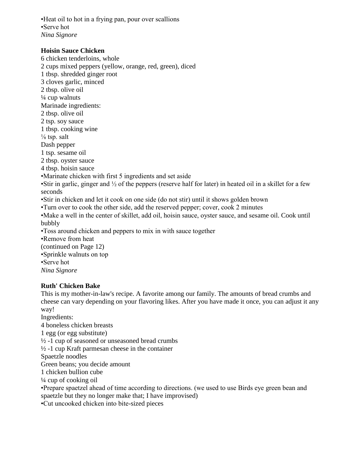•Heat oil to hot in a frying pan, pour over scallions •Serve hot *Nina Signore*

#### **Hoisin Sauce Chicken**

6 chicken tenderloins, whole 2 cups mixed peppers (yellow, orange, red, green), diced 1 tbsp. shredded ginger root 3 cloves garlic, minced 2 tbsp. olive oil  $\frac{1}{4}$  cup walnuts Marinade ingredients: 2 tbsp. olive oil 2 tsp. soy sauce 1 tbsp. cooking wine  $\frac{1}{8}$  tsp. salt Dash pepper 1 tsp. sesame oil 2 tbsp. oyster sauce 4 tbsp. hoisin sauce •Marinate chicken with first 5 ingredients and set aside •Stir in garlic, ginger and  $\frac{1}{2}$  of the peppers (reserve half for later) in heated oil in a skillet for a few seconds •Stir in chicken and let it cook on one side (do not stir) until it shows golden brown •Turn over to cook the other side, add the reserved pepper; cover, cook 2 minutes •Make a well in the center of skillet, add oil, hoisin sauce, oyster sauce, and sesame oil. Cook until bubbly •Toss around chicken and peppers to mix in with sauce together •Remove from heat (continued on Page 12) •Sprinkle walnuts on top

•Serve hot

*Nina Signore*

## **Ruth' Chicken Bake**

This is my mother-in-law's recipe. A favorite among our family. The amounts of bread crumbs and cheese can vary depending on your flavoring likes. After you have made it once, you can adjust it any way!

Ingredients:

4 boneless chicken breasts

1 egg (or egg substitute)

 $\frac{1}{2}$  -1 cup of seasoned or unseasoned bread crumbs

 $\frac{1}{2}$  -1 cup Kraft parmesan cheese in the container

Spaetzle noodles

Green beans; you decide amount

1 chicken bullion cube

 $\frac{1}{4}$  cup of cooking oil

•Prepare spaetzel ahead of time according to directions. (we used to use Birds eye green bean and spaetzle but they no longer make that; I have improvised)

•Cut uncooked chicken into bite-sized pieces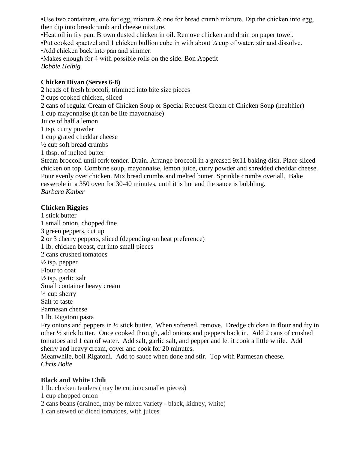•Use two containers, one for egg, mixture  $\&$  one for bread crumb mixture. Dip the chicken into egg, then dip into breadcrumb and cheese mixture.

•Heat oil in fry pan. Brown dusted chicken in oil. Remove chicken and drain on paper towel.

•Put cooked spaetzel and 1 chicken bullion cube in with about ¼ cup of water, stir and dissolve.

•Add chicken back into pan and simmer.

•Makes enough for 4 with possible rolls on the side. Bon Appetit *Bobbie Helbig*

## **Chicken Divan (Serves 6-8)**

2 heads of fresh broccoli, trimmed into bite size pieces 2 cups cooked chicken, sliced 2 cans of regular Cream of Chicken Soup or Special Request Cream of Chicken Soup (healthier) 1 cup mayonnaise (it can be lite mayonnaise) Juice of half a lemon 1 tsp. curry powder 1 cup grated cheddar cheese  $\frac{1}{2}$  cup soft bread crumbs 1 tbsp. of melted butter Steam broccoli until fork tender. Drain. Arrange broccoli in a greased 9x11 baking dish. Place sliced chicken on top. Combine soup, mayonnaise, lemon juice, curry powder and shredded cheddar cheese.

Pour evenly over chicken. Mix bread crumbs and melted butter. Sprinkle crumbs over all. Bake casserole in a 350 oven for 30-40 minutes, until it is hot and the sauce is bubbling. *Barbara Kalber*

## **Chicken Riggies**

1 stick butter 1 small onion, chopped fine 3 green peppers, cut up 2 or 3 cherry peppers, sliced (depending on heat preference) 1 lb. chicken breast, cut into small pieces 2 cans crushed tomatoes  $\frac{1}{2}$  tsp. pepper Flour to coat  $\frac{1}{2}$  tsp. garlic salt Small container heavy cream  $\frac{1}{4}$  cup sherry Salt to taste Parmesan cheese 1 lb. Rigatoni pasta Fry onions and peppers in ½ stick butter. When softened, remove. Dredge chicken in flour and fry in other ½ stick butter. Once cooked through, add onions and peppers back in. Add 2 cans of crushed

tomatoes and 1 can of water. Add salt, garlic salt, and pepper and let it cook a little while. Add sherry and heavy cream, cover and cook for 20 minutes. Meanwhile, boil Rigatoni. Add to sauce when done and stir. Top with Parmesan cheese.

*Chris Bolte*

## **Black and White Chili**

1 lb. chicken tenders (may be cut into smaller pieces)

1 cup chopped onion

2 cans beans (drained, may be mixed variety - black, kidney, white)

1 can stewed or diced tomatoes, with juices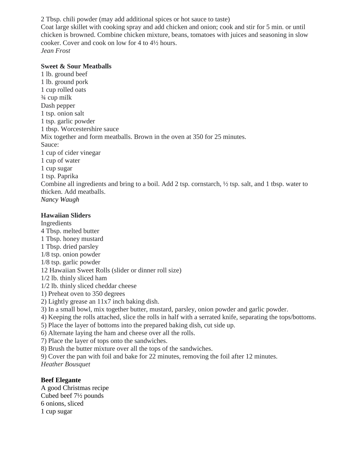2 Tbsp. chili powder (may add additional spices or hot sauce to taste)

Coat large skillet with cooking spray and add chicken and onion; cook and stir for 5 min. or until chicken is browned. Combine chicken mixture, beans, tomatoes with juices and seasoning in slow cooker. Cover and cook on low for 4 to 4½ hours. *Jean Frost*

#### **Sweet & Sour Meatballs**

1 lb. ground beef 1 lb. ground pork 1 cup rolled oats ¾ cup milk Dash pepper 1 tsp. onion salt 1 tsp. garlic powder 1 tbsp. Worcestershire sauce Mix together and form meatballs. Brown in the oven at 350 for 25 minutes. Sauce: 1 cup of cider vinegar 1 cup of water 1 cup sugar 1 tsp. Paprika Combine all ingredients and bring to a boil. Add 2 tsp. cornstarch, ½ tsp. salt, and 1 tbsp. water to thicken. Add meatballs. *Nancy Waugh*

#### **Hawaiian Sliders**

Ingredients 4 Tbsp. melted butter 1 Tbsp. honey mustard 1 Tbsp. dried parsley 1/8 tsp. onion powder 1/8 tsp. garlic powder 12 Hawaiian Sweet Rolls (slider or dinner roll size) 1/2 lb. thinly sliced ham 1/2 lb. thinly sliced cheddar cheese 1) Preheat oven to 350 degrees 2) Lightly grease an 11x7 inch baking dish. 3) In a small bowl, mix together butter, mustard, parsley, onion powder and garlic powder. 4) Keeping the rolls attached, slice the rolls in half with a serrated knife, separating the tops/bottoms. 5) Place the layer of bottoms into the prepared baking dish, cut side up. 6) Alternate laying the ham and cheese over all the rolls. 7) Place the layer of tops onto the sandwiches. 8) Brush the butter mixture over all the tops of the sandwiches. 9) Cover the pan with foil and bake for 22 minutes, removing the foil after 12 minutes. *Heather Bousquet*

## **Beef Elegante**

A good Christmas recipe Cubed beef 7½ pounds 6 onions, sliced 1 cup sugar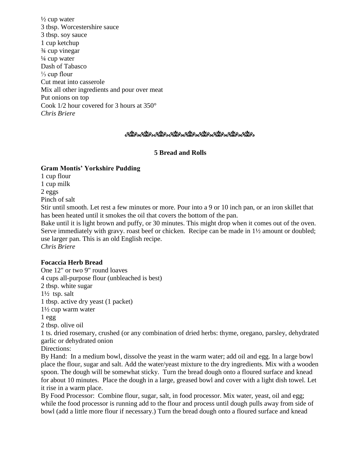$\frac{1}{2}$  cup water 3 tbsp. Worcestershire sauce 3 tbsp. soy sauce 1 cup ketchup ¾ cup vinegar  $\frac{1}{4}$  cup water Dash of Tabasco ⅓ cup flour Cut meat into casserole Mix all other ingredients and pour over meat Put onions on top Cook 1/2 hour covered for 3 hours at 350° *Chris Briere*

#### ಿಯೊಂದಿದೆಂದಿದೆ. ಇದೆಗೆ ಎಂದಿದೆಂದಿದೆ ಎಂದಿದೆಂದಿದೆ. ಇದೆಲು ಅನ್ನು ಹೊಂದಿದೆಂದಿದೆ.

#### **5 Bread and Rolls**

#### **Gram Montis' Yorkshire Pudding**

1 cup flour 1 cup milk 2 eggs Pinch of salt

Stir until smooth. Let rest a few minutes or more. Pour into a 9 or 10 inch pan, or an iron skillet that has been heated until it smokes the oil that covers the bottom of the pan.

Bake until it is light brown and puffy, or 30 minutes. This might drop when it comes out of the oven. Serve immediately with gravy. roast beef or chicken. Recipe can be made in 1½ amount or doubled; use larger pan. This is an old English recipe. *Chris Briere*

#### **Focaccia Herb Bread**

One 12" or two 9" round loaves 4 cups all-purpose flour (unbleached is best) 2 tbsp. white sugar 1½ tsp. salt 1 tbsp. active dry yeast (1 packet) 1½ cup warm water 1 egg 2 tbsp. olive oil 1 ts. dried rosemary, crushed (or any combination of dried herbs: thyme, oregano, parsley, dehydrated garlic or dehydrated onion Directions:

By Hand: In a medium bowl, dissolve the yeast in the warm water; add oil and egg. In a large bowl place the flour, sugar and salt. Add the water/yeast mixture to the dry ingredients. Mix with a wooden spoon. The dough will be somewhat sticky. Turn the bread dough onto a floured surface and knead for about 10 minutes. Place the dough in a large, greased bowl and cover with a light dish towel. Let it rise in a warm place.

By Food Processor: Combine flour, sugar, salt, in food processor. Mix water, yeast, oil and egg; while the food processor is running add to the flour and process until dough pulls away from side of bowl (add a little more flour if necessary.) Turn the bread dough onto a floured surface and knead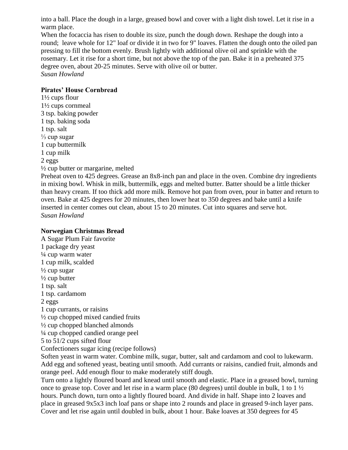into a ball. Place the dough in a large, greased bowl and cover with a light dish towel. Let it rise in a warm place.

When the focaccia has risen to double its size, punch the dough down. Reshape the dough into a round; leave whole for 12" loaf or divide it in two for 9" loaves. Flatten the dough onto the oiled pan pressing to fill the bottom evenly. Brush lightly with additional olive oil and sprinkle with the rosemary. Let it rise for a short time, but not above the top of the pan. Bake it in a preheated 375 degree oven, about 20-25 minutes. Serve with olive oil or butter. *Susan Howland*

#### **Pirates' House Cornbread**

1½ cups flour 1½ cups cornmeal 3 tsp. baking powder 1 tsp. baking soda 1 tsp. salt  $\frac{1}{3}$  cup sugar 1 cup buttermilk 1 cup milk 2 eggs ½ cup butter or margarine, melted Preheat oven to 425 degrees. Grease an 8x8-inch pan and place in the oven. Combine dry ingredients

in mixing bowl. Whisk in milk, buttermilk, eggs and melted butter. Batter should be a little thicker than heavy cream. If too thick add more milk. Remove hot pan from oven, pour in batter and return to oven. Bake at 425 degrees for 20 minutes, then lower heat to 350 degrees and bake until a knife inserted in center comes out clean, about 15 to 20 minutes. Cut into squares and serve hot. *Susan Howland*

#### **Norwegian Christmas Bread**

A Sugar Plum Fair favorite 1 package dry yeast ¼ cup warm water 1 cup milk, scalded  $\frac{1}{2}$  cup sugar  $\frac{1}{2}$  cup butter 1 tsp. salt 1 tsp. cardamom 2 eggs 1 cup currants, or raisins ½ cup chopped mixed candied fruits ½ cup chopped blanched almonds ¼ cup chopped candied orange peel 5 to 51/2 cups sifted flour Confectioners sugar icing (recipe follows) Soften yeast in warm water. Combine milk, sugar, butter, salt and cardamom and cool to lukewarm. Add egg and softened yeast, beating until smooth. Add currants or raisins, candied fruit, almonds and orange peel. Add enough flour to make moderately stiff dough. Turn onto a lightly floured board and knead until smooth and elastic. Place in a greased bowl, turning once to grease top. Cover and let rise in a warm place (80 degrees) until double in bulk, 1 to 1  $\frac{1}{2}$ hours. Punch down, turn onto a lightly floured board. And divide in half. Shape into 2 loaves and place in greased 9x5x3 inch loaf pans or shape into 2 rounds and place in greased 9-inch layer pans.

Cover and let rise again until doubled in bulk, about 1 hour. Bake loaves at 350 degrees for 45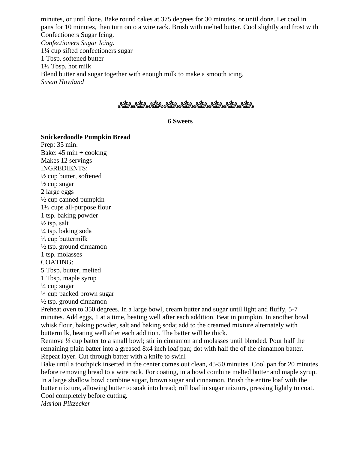minutes, or until done. Bake round cakes at 375 degrees for 30 minutes, or until done. Let cool in pans for 10 minutes, then turn onto a wire rack. Brush with melted butter. Cool slightly and frost with Confectioners Sugar Icing. *Confectioners Sugar Icing.* 1¼ cup sifted confectioners sugar 1 Tbsp. softened butter 1½ Tbsp. hot milk Blend butter and sugar together with enough milk to make a smooth icing. *Susan Howland*

್ಲಿಯೊ ಕ್ಲಿಯೊ ಕ್ಲಿಯೊ ಕ್ಲಿಯೊ ಕ್ಲಿಯೊ ಕ್ಲಿಯೊ ಕ್ಲಿಯೊ ಕ್ಲಿಯೊ ಕ್ಲಿಯೊ ಕ್ಲಿಯೊ ಕ್ಲಿಯೊ ಕ್ಲಿಯೊ ಕ್ಲಿಯೊ ಕ್ಲಿಯೊ ಕ್ಲಿಯೊ ಕ್ಲಿಯೊ

#### **6 Sweets**

**Snickerdoodle Pumpkin Bread** Prep: 35 min. Bake:  $45 \text{ min} + \text{cooking}$ Makes 12 servings INGREDIENTS:  $\frac{1}{2}$  cup butter, softened  $\frac{1}{2}$  cup sugar 2 large eggs  $\frac{1}{2}$  cup canned pumpkin 1½ cups all-purpose flour 1 tsp. baking powder  $\frac{1}{2}$  tsp. salt ¼ tsp. baking soda  $\frac{1}{3}$  cup buttermilk  $\frac{1}{2}$  tsp. ground cinnamon 1 tsp. molasses COATING: 5 Tbsp. butter, melted 1 Tbsp. maple syrup  $\frac{1}{4}$  cup sugar ¼ cup packed brown sugar  $\frac{1}{2}$  tsp. ground cinnamon

Preheat oven to 350 degrees. In a large bowl, cream butter and sugar until light and fluffy, 5-7 minutes. Add eggs, 1 at a time, beating well after each addition. Beat in pumpkin. In another bowl whisk flour, baking powder, salt and baking soda; add to the creamed mixture alternately with buttermilk, beating well after each addition. The batter will be thick.

Remove ½ cup batter to a small bowl; stir in cinnamon and molasses until blended. Pour half the remaining plain batter into a greased 8x4 inch loaf pan; dot with half the of the cinnamon batter. Repeat layer. Cut through batter with a knife to swirl.

Bake until a toothpick inserted in the center comes out clean, 45-50 minutes. Cool pan for 20 minutes before removing bread to a wire rack. For coating, in a bowl combine melted butter and maple syrup. In a large shallow bowl combine sugar, brown sugar and cinnamon. Brush the entire loaf with the butter mixture, allowing butter to soak into bread; roll loaf in sugar mixture, pressing lightly to coat. Cool completely before cutting.

*Marion Piltzecker*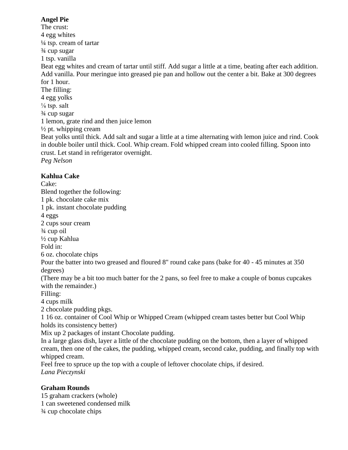## **Angel Pie**

The crust: 4 egg whites ¼ tsp. cream of tartar ¾ cup sugar 1 tsp. vanilla Beat egg whites and cream of tartar until stiff. Add sugar a little at a time, beating after each addition. Add vanilla. Pour meringue into greased pie pan and hollow out the center a bit. Bake at 300 degrees for 1 hour. The filling: 4 egg yolks  $\frac{1}{8}$  tsp. salt ¾ cup sugar 1 lemon, grate rind and then juice lemon  $\frac{1}{2}$  pt. whipping cream Beat yolks until thick. Add salt and sugar a little at a time alternating with lemon juice and rind. Cook in double boiler until thick. Cool. Whip cream. Fold whipped cream into cooled filling. Spoon into crust. Let stand in refrigerator overnight. *Peg Nelson*

# **Kahlua Cake**

Cake: Blend together the following: 1 pk. chocolate cake mix 1 pk. instant chocolate pudding 4 eggs 2 cups sour cream ¾ cup oil ½ cup Kahlua Fold in: 6 oz. chocolate chips Pour the batter into two greased and floured 8" round cake pans (bake for 40 - 45 minutes at 350 degrees) (There may be a bit too much batter for the 2 pans, so feel free to make a couple of bonus cupcakes with the remainder.)

Filling: 4 cups milk

2 chocolate pudding pkgs.

1 16 oz. container of Cool Whip or Whipped Cream (whipped cream tastes better but Cool Whip holds its consistency better)

Mix up 2 packages of instant Chocolate pudding.

In a large glass dish, layer a little of the chocolate pudding on the bottom, then a layer of whipped cream, then one of the cakes, the pudding, whipped cream, second cake, pudding, and finally top with whipped cream.

Feel free to spruce up the top with a couple of leftover chocolate chips, if desired. *Lana Pieczynski*

## **Graham Rounds**

15 graham crackers (whole) 1 can sweetened condensed milk ¾ cup chocolate chips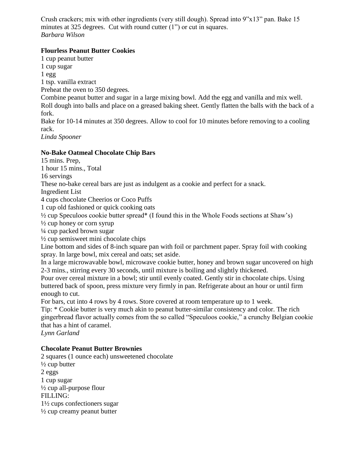Crush crackers; mix with other ingredients (very still dough). Spread into 9"x13" pan. Bake 15 minutes at 325 degrees. Cut with round cutter (1") or cut in squares. *Barbara Wilson*

## **Flourless Peanut Butter Cookies**

1 cup peanut butter 1 cup sugar 1 egg 1 tsp. vanilla extract Preheat the oven to 350 degrees. Combine peanut butter and sugar in a large mixing bowl. Add the egg and vanilla and mix well. Roll dough into balls and place on a greased baking sheet. Gently flatten the balls with the back of a fork. Bake for 10-14 minutes at 350 degrees. Allow to cool for 10 minutes before removing to a cooling rack.

*Linda Spooner*

# **No-Bake Oatmeal Chocolate Chip Bars**

15 mins. Prep,

1 hour 15 mins., Total

16 servings

These no-bake cereal bars are just as indulgent as a cookie and perfect for a snack.

Ingredient List

4 cups chocolate Cheerios or Coco Puffs

1 cup old fashioned or quick cooking oats

½ cup Speculoos cookie butter spread\* (I found this in the Whole Foods sections at Shaw's)

 $\frac{1}{2}$  cup honey or corn syrup

¼ cup packed brown sugar

 $\frac{1}{2}$  cup semisweet mini chocolate chips

Line bottom and sides of 8-inch square pan with foil or parchment paper. Spray foil with cooking spray. In large bowl, mix cereal and oats; set aside.

In a large microwavable bowl, microwave cookie butter, honey and brown sugar uncovered on high 2-3 mins., stirring every 30 seconds, until mixture is boiling and slightly thickened.

Pour over cereal mixture in a bowl; stir until evenly coated. Gently stir in chocolate chips. Using buttered back of spoon, press mixture very firmly in pan. Refrigerate about an hour or until firm enough to cut.

For bars, cut into 4 rows by 4 rows. Store covered at room temperature up to 1 week.

Tip: \* Cookie butter is very much akin to peanut butter-similar consistency and color. The rich gingerbread flavor actually comes from the so called "Speculoos cookie," a crunchy Belgian cookie that has a hint of caramel.

*Lynn Garland*

## **Chocolate Peanut Butter Brownies**

2 squares (1 ounce each) unsweetened chocolate  $\frac{1}{2}$  cup butter 2 eggs 1 cup sugar  $\frac{1}{2}$  cup all-purpose flour FILLING: 1½ cups confectioners sugar  $\frac{1}{2}$  cup creamy peanut butter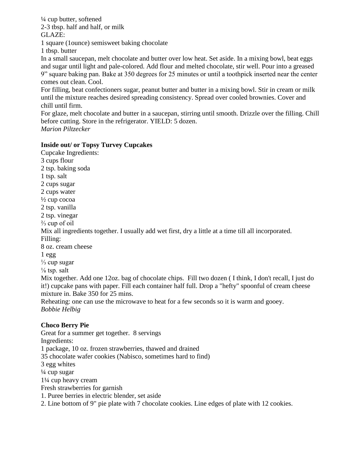¼ cup butter, softened 2-3 tbsp. half and half, or milk GLAZE: 1 square (1ounce) semisweet baking chocolate 1 tbsp. butter

In a small saucepan, melt chocolate and butter over low heat. Set aside. In a mixing bowl, beat eggs and sugar until light and pale-colored. Add flour and melted chocolate, stir well. Pour into a greased 9" square baking pan. Bake at 350 degrees for 25 minutes or until a toothpick inserted near the center comes out clean. Cool.

For filling, beat confectioners sugar, peanut butter and butter in a mixing bowl. Stir in cream or milk until the mixture reaches desired spreading consistency. Spread over cooled brownies. Cover and chill until firm.

For glaze, melt chocolate and butter in a saucepan, stirring until smooth. Drizzle over the filling. Chill before cutting. Store in the refrigerator. YIELD: 5 dozen. *Marion Piltzecker*

#### **Inside out/ or Topsy Turvey Cupcakes**

Cupcake Ingredients: 3 cups flour 2 tsp. baking soda 1 tsp. salt 2 cups sugar 2 cups water  $\frac{1}{2}$  cup cocoa 2 tsp. vanilla 2 tsp. vinegar  $\frac{2}{3}$  cup of oil Mix all ingredients together. I usually add wet first, dry a little at a time till all incorporated. Filling: 8 oz. cream cheese 1 egg ⅓ cup sugar  $\frac{1}{8}$  tsp. salt Mix together. Add one 12oz. bag of chocolate chips. Fill two dozen ( I think, I don't recall, I just do it!) cupcake pans with paper. Fill each container half full. Drop a "hefty" spoonful of cream cheese mixture in. Bake 350 for 25 mins. Reheating: one can use the microwave to heat for a few seconds so it is warm and gooey. *Bobbie Helbig*

## **Choco Berry Pie**

Great for a summer get together. 8 servings Ingredients: 1 package, 10 oz. frozen strawberries, thawed and drained 35 chocolate wafer cookies (Nabisco, sometimes hard to find) 3 egg whites  $\frac{1}{4}$  cup sugar 1¼ cup heavy cream Fresh strawberries for garnish 1. Puree berries in electric blender, set aside 2. Line bottom of 9" pie plate with 7 chocolate cookies. Line edges of plate with 12 cookies.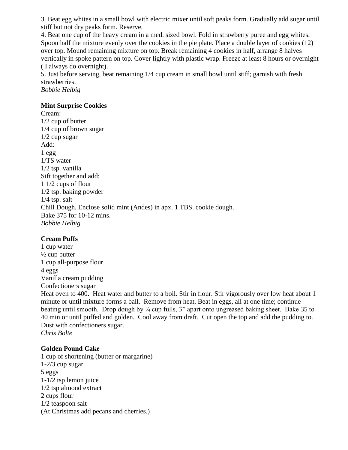3. Beat egg whites in a small bowl with electric mixer until soft peaks form. Gradually add sugar until stiff but not dry peaks form. Reserve.

4. Beat one cup of the heavy cream in a med. sized bowl. Fold in strawberry puree and egg whites. Spoon half the mixture evenly over the cookies in the pie plate. Place a double layer of cookies (12) over top. Mound remaining mixture on top. Break remaining 4 cookies in half, arrange 8 halves vertically in spoke pattern on top. Cover lightly with plastic wrap. Freeze at least 8 hours or overnight ( I always do overnight).

5. Just before serving, beat remaining 1/4 cup cream in small bowl until stiff; garnish with fresh strawberries.

*Bobbie Helbig*

#### **Mint Surprise Cookies**

Cream: 1/2 cup of butter 1/4 cup of brown sugar 1/2 cup sugar Add:  $1 <sub>egg</sub>$ 1/TS water 1/2 tsp. vanilla Sift together and add: 1 1/2 cups of flour 1/2 tsp. baking powder 1/4 tsp. salt Chill Dough. Enclose solid mint (Andes) in apx. 1 TBS. cookie dough. Bake 375 for 10-12 mins. *Bobbie Helbig*

## **Cream Puffs**

1 cup water  $\frac{1}{2}$  cup butter 1 cup all-purpose flour 4 eggs Vanilla cream pudding Confectioners sugar

Heat oven to 400. Heat water and butter to a boil. Stir in flour. Stir vigorously over low heat about 1 minute or until mixture forms a ball. Remove from heat. Beat in eggs, all at one time; continue beating until smooth. Drop dough by ¼ cup fulls, 3" apart onto ungreased baking sheet. Bake 35 to 40 min or until puffed and golden. Cool away from draft. Cut open the top and add the pudding to. Dust with confectioners sugar. *Chris Bolte*

## **Golden Pound Cake**

1 cup of shortening (butter or margarine) 1-2/3 cup sugar 5 eggs 1-1/2 tsp lemon juice 1/2 tsp almond extract 2 cups flour 1/2 teaspoon salt (At Christmas add pecans and cherries.)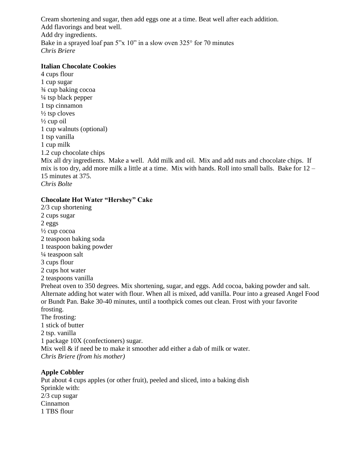Cream shortening and sugar, then add eggs one at a time. Beat well after each addition. Add flavorings and beat well. Add dry ingredients. Bake in a sprayed loaf pan 5"x 10" in a slow oven 325° for 70 minutes *Chris Briere*

#### **Italian Chocolate Cookies**

4 cups flour 1 cup sugar ¾ cup baking cocoa  $\frac{1}{4}$  tsp black pepper 1 tsp cinnamon  $\frac{1}{2}$  tsp cloves  $\frac{1}{2}$  cup oil 1 cup walnuts (optional) 1 tsp vanilla 1 cup milk 1.2 cup chocolate chips

Mix all dry ingredients. Make a well. Add milk and oil. Mix and add nuts and chocolate chips. If mix is too dry, add more milk a little at a time. Mix with hands. Roll into small balls. Bake for 12 – 15 minutes at 375.

*Chris Bolte*

#### **Chocolate Hot Water "Hershey" Cake**

2/3 cup shortening 2 cups sugar 2 eggs  $\frac{1}{2}$  cup cocoa 2 teaspoon baking soda 1 teaspoon baking powder ¼ teaspoon salt 3 cups flour 2 cups hot water 2 teaspoons vanilla Preheat oven to 350 degrees. Mix shortening, sugar, and eggs. Add cocoa, baking powder and salt. Alternate adding hot water with flour. When all is mixed, add vanilla. Pour into a greased Angel Food or Bundt Pan. Bake 30-40 minutes, until a toothpick comes out clean. Frost with your favorite frosting. The frosting: 1 stick of butter 2 tsp. vanilla 1 package 10X (confectioners) sugar. Mix well & if need be to make it smoother add either a dab of milk or water. *Chris Briere (from his mother)*

## **Apple Cobbler**

Put about 4 cups apples (or other fruit), peeled and sliced, into a baking dish Sprinkle with: 2/3 cup sugar Cinnamon 1 TBS flour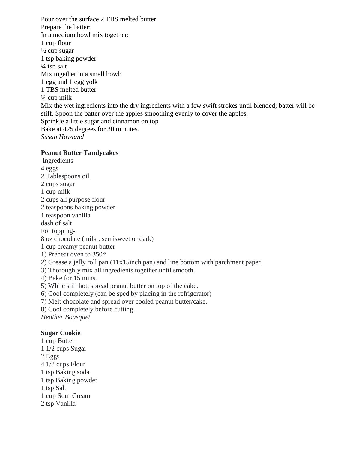Pour over the surface 2 TBS melted butter Prepare the batter: In a medium bowl mix together: 1 cup flour  $\frac{1}{2}$  cup sugar 1 tsp baking powder  $\frac{1}{4}$  tsp salt Mix together in a small bowl: 1 egg and 1 egg yolk 1 TBS melted butter  $\frac{1}{4}$  cup milk Mix the wet ingredients into the dry ingredients with a few swift strokes until blended; batter will be stiff. Spoon the batter over the apples smoothing evenly to cover the apples. Sprinkle a little sugar and cinnamon on top Bake at 425 degrees for 30 minutes. *Susan Howland*

#### **Peanut Butter Tandycakes**

Ingredients 4 eggs 2 Tablespoons oil 2 cups sugar 1 cup milk 2 cups all purpose flour 2 teaspoons baking powder 1 teaspoon vanilla dash of salt For topping-8 oz chocolate (milk , semisweet or dark) 1 cup creamy peanut butter 1) Preheat oven to 350\* 2) Grease a jelly roll pan (11x15inch pan) and line bottom with parchment paper 3) Thoroughly mix all ingredients together until smooth. 4) Bake for 15 mins. 5) While still hot, spread peanut butter on top of the cake. 6) Cool completely (can be sped by placing in the refrigerator) 7) Melt chocolate and spread over cooled peanut butter/cake. 8) Cool completely before cutting. *Heather Bousquet* **Sugar Cookie** 1 cup Butter 1 1/2 cups Sugar 2 Eggs 4 1/2 cups Flour

- 
- 1 tsp Baking soda
- 1 tsp Baking powder
- 1 tsp Salt
- 1 cup Sour Cream
- 2 tsp Vanilla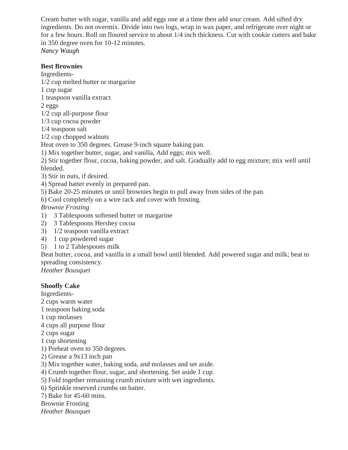Cream butter with sugar, vanilla and add eggs one at a time then add sour cream. Add sifted dry ingredients. Do not overmix. Divide into two logs, wrap in wax paper, and refrigerate over night or for a few hours. Roll on floured service to about 1/4 inch thickness. Cut with cookie cutters and bake in 350 degree oven for 10-12 minutes. *Nancy Waugh*

#### **Best Brownies**

Ingredients-

1/2 cup melted butter or margarine

- 1 cup sugar
- 1 teaspoon vanilla extract

2 eggs

- 1/2 cup all-purpose flour
- 1/3 cup cocoa powder
- 1/4 teaspoon salt
- 1/2 cup chopped walnuts

Heat oven to 350 degrees. Grease 9-inch square baking pan.

1) Mix together butter, sugar, and vanilla, Add eggs; mix well.

2) Stir together flour, cocoa, baking powder, and salt. Gradually add to egg mixture; mix well until blended.

- 3) Stir in nuts, if desired.
- 4) Spread batter evenly in prepared pan.
- 5) Bake 20-25 minutes or until brownies begin to pull away from sides of the pan.

6) Cool completely on a wire rack and cover with frosting.

*Brownie Frosting* 

- 1) 3 Tablespoons softened butter or margarine
- 2) 3 Tablespoons Hershey cocoa
- 3) 1/2 teaspoon vanilla extract
- 4) 1 cup powdered sugar
- 5) 1 to 2 Tablespoons milk

Beat butter, cocoa, and vanilla in a small bowl until blended. Add powered sugar and milk; beat to spreading consistency.

*Heather Bousquet* 

## **Shoofly Cake**

Ingredients-

- 2 cups warm water
- 1 teaspoon baking soda
- 1 cup molasses
- 4 cups all purpose flour

2 cups sugar

- 1 cup shortening
- 1) Preheat oven to 350 degrees.
- 2) Grease a 9x13 inch pan
- 3) Mix together water, baking soda, and molasses and set aside.
- 4) Crumb together flour, sugar, and shortening. Set aside 1 cup.
- 5) Fold together remaining crumb mixture with wet ingredients.
- 6) Sprinkle reserved crumbs on batter.
- 7) Bake for 45-60 mins.
- Brownie Frosting

*Heather Bousquet*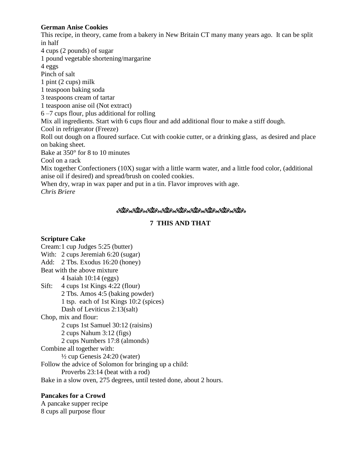#### **German Anise Cookies**

This recipe, in theory, came from a bakery in New Britain CT many many years ago. It can be split in half

4 cups (2 pounds) of sugar

1 pound vegetable shortening/margarine

4 eggs

Pinch of salt

1 pint (2 cups) milk

1 teaspoon baking soda

3 teaspoons cream of tartar

1 teaspoon anise oil (Not extract)

6 –7 cups flour, plus additional for rolling

Mix all ingredients. Start with 6 cups flour and add additional flour to make a stiff dough.

Cool in refrigerator (Freeze)

Roll out dough on a floured surface. Cut with cookie cutter, or a drinking glass, as desired and place on baking sheet.

Bake at 350° for 8 to 10 minutes

Cool on a rack

Mix together Confectioners (10X) sugar with a little warm water, and a little food color, (additional anise oil if desired) and spread/brush on cooled cookies.

When dry, wrap in wax paper and put in a tin. Flavor improves with age.

*Chris Briere*

## ್ರಿಯೊ ಕ್ಷಿಯೊ ಕ್ಷಿಯೊ ಕ್ಷಿಯೊ ಕ್ಷಿಯೊ ಕ್ಷಿಯೊ ಕ್ಷಿಯೊ ಕ್ಷಿಯೊ ಕ್ಷಿಯೊ

## **7 THIS AND THAT**

## **Scripture Cake**

Cream:1 cup Judges 5:25 (butter) With: 2 cups Jeremiah 6:20 (sugar) Add: 2 Tbs. Exodus 16:20 (honey) Beat with the above mixture 4 Isaiah 10:14 (eggs) Sift: 4 cups 1st Kings 4:22 (flour) 2 Tbs. Amos 4:5 (baking powder) 1 tsp. each of 1st Kings 10:2 (spices) Dash of Leviticus 2:13(salt) Chop, mix and flour: 2 cups 1st Samuel 30:12 (raisins) 2 cups Nahum 3:12 (figs) 2 cups Numbers 17:8 (almonds) Combine all together with: ½ cup Genesis 24:20 (water) Follow the advice of Solomon for bringing up a child: Proverbs 23:14 (beat with a rod) Bake in a slow oven, 275 degrees, until tested done, about 2 hours.

## **Pancakes for a Crowd**

A pancake supper recipe 8 cups all purpose flour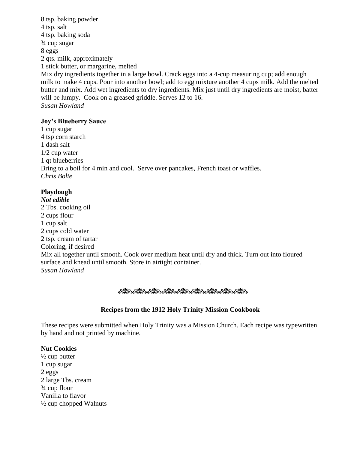8 tsp. baking powder 4 tsp. salt 4 tsp. baking soda ¾ cup sugar 8 eggs 2 qts. milk, approximately 1 stick butter, or margarine, melted Mix dry ingredients together in a large bowl. Crack eggs into a 4-cup measuring cup; add enough milk to make 4 cups. Pour into another bowl; add to egg mixture another 4 cups milk. Add the melted butter and mix. Add wet ingredients to dry ingredients. Mix just until dry ingredients are moist, batter will be lumpy. Cook on a greased griddle. Serves 12 to 16. *Susan Howland*

#### **Joy's Blueberry Sauce**

1 cup sugar 4 tsp corn starch 1 dash salt 1/2 cup water 1 qt blueberries Bring to a boil for 4 min and cool. Serve over pancakes, French toast or waffles. *Chris Bolte*

## **Playdough**

*Not edible* 2 Tbs. cooking oil 2 cups flour 1 cup salt 2 cups cold water 2 tsp. cream of tartar Coloring, if desired Mix all together until smooth. Cook over medium heat until dry and thick. Turn out into floured surface and knead until smooth. Store in airtight container. *Susan Howland*

## <u>ಿಯೋಜಿಸಿಂದರೆ ಅನುಭವಿಸಿದ್ದಾರೆ. ಇದರ ಅನುಭವಿಸಿದ್ದಾರೆ.</u>

## **Recipes from the 1912 Holy Trinity Mission Cookbook**

These recipes were submitted when Holy Trinity was a Mission Church. Each recipe was typewritten by hand and not printed by machine.

#### **Nut Cookies**

 $\frac{1}{2}$  cup butter 1 cup sugar 2 eggs 2 large Tbs. cream ¾ cup flour Vanilla to flavor ½ cup chopped Walnuts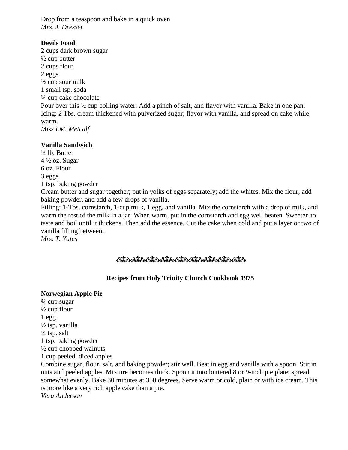Drop from a teaspoon and bake in a quick oven *Mrs. J. Dresser*

## **Devils Food**

2 cups dark brown sugar  $\frac{1}{2}$  cup butter 2 cups flour 2 eggs  $\frac{1}{2}$  cup sour milk 1 small tsp. soda ¼ cup cake chocolate Pour over this ½ cup boiling water. Add a pinch of salt, and flavor with vanilla. Bake in one pan. Icing: 2 Tbs. cream thickened with pulverized sugar; flavor with vanilla, and spread on cake while warm. *Miss I.M. Metcalf*

## **Vanilla Sandwich**

¼ lb. Butter  $4\frac{1}{2}$  oz. Sugar 6 oz. Flour 3 eggs 1 tsp. baking powder

Cream butter and sugar together; put in yolks of eggs separately; add the whites. Mix the flour; add baking powder, and add a few drops of vanilla.

Filling: 1-Tbs. cornstarch, 1-cup milk, 1 egg, and vanilla. Mix the cornstarch with a drop of milk, and warm the rest of the milk in a jar. When warm, put in the cornstarch and egg well beaten. Sweeten to taste and boil until it thickens. Then add the essence. Cut the cake when cold and put a layer or two of vanilla filling between.

*Mrs. T. Yates*

## ್ರಿಯೊ ಕ್ಷಿಯೊ ಕ್ಷಿಯೊ ಕ್ಷಿಯೊ ಕ್ಷಿಯೊ ಕ್ಷಿಯೊ ಕ್ಷಿಯೊ ಕ್ಷಿಯೊ ಕ್ಷಿಯೊ

## **Recipes from Holy Trinity Church Cookbook 1975**

## **Norwegian Apple Pie**

¾ cup sugar ½ cup flour  $1$  egg ½ tsp. vanilla  $\frac{1}{4}$  tsp. salt 1 tsp. baking powder  $\frac{1}{2}$  cup chopped walnuts 1 cup peeled, diced apples Combine sugar, flour, salt, and baking powder; stir well. Beat in egg and vanilla with a spoon. Stir in nuts and peeled apples. Mixture becomes thick. Spoon it into buttered 8 or 9-inch pie plate; spread somewhat evenly. Bake 30 minutes at 350 degrees. Serve warm or cold, plain or with ice cream. This

is more like a very rich apple cake than a pie.

*Vera Anderson*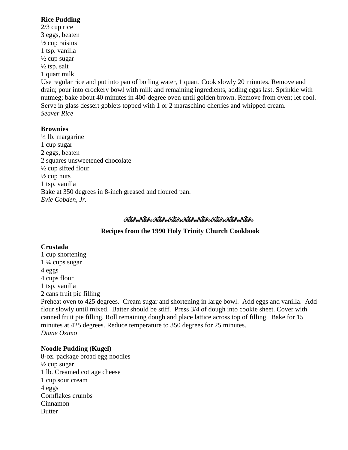#### **Rice Pudding**

2/3 cup rice 3 eggs, beaten  $\frac{1}{2}$  cup raisins 1 tsp. vanilla  $\frac{1}{2}$  cup sugar  $\frac{1}{2}$  tsp. salt 1 quart milk Use regular rice and put into pan of boiling water, 1 quart. Cook slowly 20 minutes. Remove and drain; pour into crockery bowl with milk and remaining ingredients, adding eggs last. Sprinkle with nutmeg; bake about 40 minutes in 400-degree oven until golden brown. Remove from oven; let cool. Serve in glass dessert goblets topped with 1 or 2 maraschino cherries and whipped cream. *Seaver Rice*

#### **Brownies**

¼ lb. margarine 1 cup sugar 2 eggs, beaten 2 squares unsweetened chocolate ½ cup sifted flour  $\frac{1}{2}$  cup nuts 1 tsp. vanilla Bake at 350 degrees in 8-inch greased and floured pan. *Evie Cobden, Jr.* 

#### ಿಯೊಂದರೊಂದರೊಂದರೊಂದರೊಂದರೊಂದರೊಂದರೊಂದರೊ

## **Recipes from the 1990 Holy Trinity Church Cookbook**

#### **Crustada**

1 cup shortening 1 ¼ cups sugar 4 eggs 4 cups flour 1 tsp. vanilla 2 cans fruit pie filling Preheat oven to 425 degrees. Cream sugar and shortening in large bowl. Add eggs and vanilla. Add flour slowly until mixed. Batter should be stiff. Press 3/4 of dough into cookie sheet. Cover with canned fruit pie filling. Roll remaining dough and place lattice across top of filling. Bake for 15 minutes at 425 degrees. Reduce temperature to 350 degrees for 25 minutes. *Diane Osimo*

## **Noodle Pudding (Kugel)**

8-oz. package broad egg noodles  $\frac{1}{2}$  cup sugar 1 lb. Creamed cottage cheese 1 cup sour cream 4 eggs Cornflakes crumbs Cinnamon Butter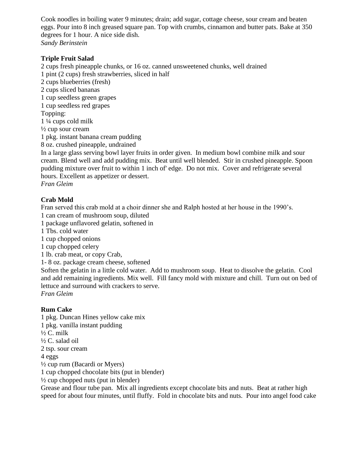Cook noodles in boiling water 9 minutes; drain; add sugar, cottage cheese, sour cream and beaten eggs. Pour into 8 inch greased square pan. Top with crumbs, cinnamon and butter pats. Bake at 350 degrees for 1 hour. A nice side dish. *Sandy Berinstein*

#### **Triple Fruit Salad**

2 cups fresh pineapple chunks, or 16 oz. canned unsweetened chunks, well drained 1 pint (2 cups) fresh strawberries, sliced in half 2 cups blueberries (fresh) 2 cups sliced bananas 1 cup seedless green grapes 1 cup seedless red grapes Topping: 1 ¼ cups cold milk  $\frac{1}{2}$  cup sour cream 1 pkg. instant banana cream pudding 8 oz. crushed pineapple, undrained In a large glass serving bowl layer fruits in order given. In medium bowl combine milk and sour

cream. Blend well and add pudding mix. Beat until well blended. Stir in crushed pineapple. Spoon pudding mixture over fruit to within 1 inch of' edge. Do not mix. Cover and refrigerate several hours. Excellent as appetizer or dessert.

*Fran Gleim*

## **Crab Mold**

Fran served this crab mold at a choir dinner she and Ralph hosted at her house in the 1990's.

1 can cream of mushroom soup, diluted

1 package unflavored gelatin, softened in

1 Tbs. cold water

1 cup chopped onions

1 cup chopped celery

1 lb. crab meat, or copy Crab,

1- 8 oz. package cream cheese, softened

Soften the gelatin in a little cold water. Add to mushroom soup. Heat to dissolve the gelatin. Cool and add remaining ingredients. Mix well. Fill fancy mold with mixture and chill. Turn out on bed of lettuce and surround with crackers to serve.

*Fran Gleim*

## **Rum Cake**

1 pkg. Duncan Hines yellow cake mix 1 pkg. vanilla instant pudding  $\frac{1}{2}C$ . milk ½ C. salad oil 2 tsp. sour cream 4 eggs ½ cup rum (Bacardi or Myers) 1 cup chopped chocolate bits (put in blender)  $\frac{1}{2}$  cup chopped nuts (put in blender) Grease and flour tube pan. Mix all ingredients except chocolate bits and nuts. Beat at rather high speed for about four minutes, until fluffy. Fold in chocolate bits and nuts. Pour into angel food cake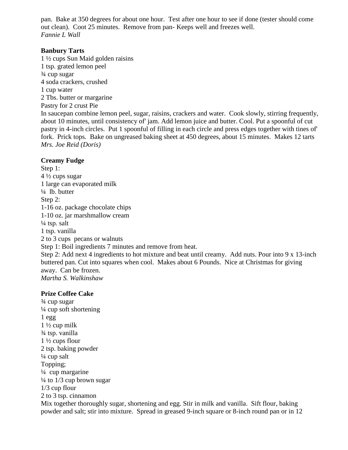pan. Bake at 350 degrees for about one hour. Test after one hour to see if done (tester should come out clean). Coot 25 minutes. Remove from pan- Keeps well and freezes well. *Fannie L Wall*

#### **Banbury Tarts**

1 ½ cups Sun Maid golden raisins 1 tsp. grated lemon peel ¾ cup sugar 4 soda crackers, crushed 1 cup water 2 Tbs. butter or margarine Pastry for 2 crust Pie In saucepan combine lemon peel, sugar, raisins, crackers and water. Cook slowly, stirring frequently, about 10 minutes, until consistency of' jam. Add lemon juice and butter. Cool. Put a spoonful of cut pastry in 4-inch circles. Put 1 spoonful of filling in each circle and press edges together with tines of' fork. Prick tops. Bake on ungreased baking sheet at 450 degrees, about 15 minutes. Makes 12 tarts *Mrs. Joe Reid (Doris)*

#### **Creamy Fudge**

Step 1: 4 ½ cups sugar 1 large can evaporated milk  $\frac{1}{4}$  lb. butter Step 2: 1-16 oz. package chocolate chips 1-10 oz. jar marshmallow cream  $\frac{1}{4}$  tsp. salt 1 tsp. vanilla 2 to 3 cups pecans or walnuts Step 1: Boil ingredients 7 minutes and remove from heat. Step 2: Add next 4 ingredients to hot mixture and beat until creamy. Add nuts. Pour into 9 x 13-inch buttered pan. Cut into squares when cool. Makes about 6 Pounds. Nice at Christmas for giving away. Can be frozen. *Martha S. Walkinshaw*

#### **Prize Coffee Cake**

¾ cup sugar  $\frac{1}{4}$  cup soft shortening 1 egg  $1\frac{1}{2}$  cup milk ¾ tsp. vanilla 1 ½ cups flour 2 tsp. baking powder  $\frac{1}{4}$  cup salt Topping; ¼ cup margarine  $\frac{1}{4}$  to  $\frac{1}{3}$  cup brown sugar 1/3 cup flour 2 to 3 tsp. cinnamon Mix together thoroughly sugar, shortening and egg. Stir in milk and vanilla. Sift flour, baking powder and salt; stir into mixture. Spread in greased 9-inch square or 8-inch round pan or in 12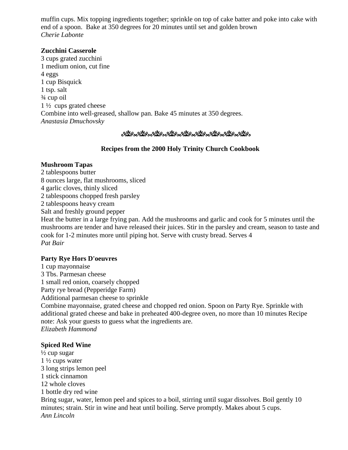muffin cups. Mix topping ingredients together; sprinkle on top of cake batter and poke into cake with end of a spoon. Bake at 350 degrees for 20 minutes until set and golden brown *Cherie Labonte*

#### **Zucchini Casserole**

3 cups grated zucchini 1 medium onion, cut fine 4 eggs 1 cup Bisquick 1 tsp. salt ¾ cup oil 1 ½ cups grated cheese Combine into well-greased, shallow pan. Bake 45 minutes at 350 degrees. *Anastasia Dmuchovsky*

```
್ರಿಯೊ ಕ್ಷಿಯೊ ಕ್ಷಿಯೊ ಕ್ಷಿಯೊ ಕ್ಷಿಯೊ ಕ್ಷಿಯೊ ಕ್ಷಿಯೊ ಕ್ಷಿಯೊ ಕ್ಷಿಯೊ
```
## **Recipes from the 2000 Holy Trinity Church Cookbook**

#### **Mushroom Tapas**

- 2 tablespoons butter
- 8 ounces large, flat mushrooms, sliced
- 4 garlic cloves, thinly sliced
- 2 tablespoons chopped fresh parsley
- 2 tablespoons heavy cream
- Salt and freshly ground pepper

Heat the butter in a large frying pan. Add the mushrooms and garlic and cook for 5 minutes until the mushrooms are tender and have released their juices. Stir in the parsley and cream, season to taste and cook for 1-2 minutes more until piping hot. Serve with crusty bread. Serves 4 *Pat Bair*

## **Party Rye Hors D'oeuvres**

1 cup mayonnaise 3 Tbs. Parmesan cheese 1 small red onion, coarsely chopped Party rye bread (Pepperidge Farm) Additional parmesan cheese to sprinkle Combine mayonnaise, grated cheese and chopped red onion. Spoon on Party Rye. Sprinkle with additional grated cheese and bake in preheated 400-degree oven, no more than 10 minutes Recipe note: Ask your guests to guess what the ingredients are. *Elizabeth Hammond*

## **Spiced Red Wine**

 $\frac{1}{2}$  cup sugar 1 ½ cups water 3 long strips lemon peel 1 stick cinnamon 12 whole cloves 1 bottle dry red wine Bring sugar, water, lemon peel and spices to a boil, stirring until sugar dissolves. Boil gently 10 minutes; strain. Stir in wine and heat until boiling. Serve promptly. Makes about 5 cups. *Ann Lincoln*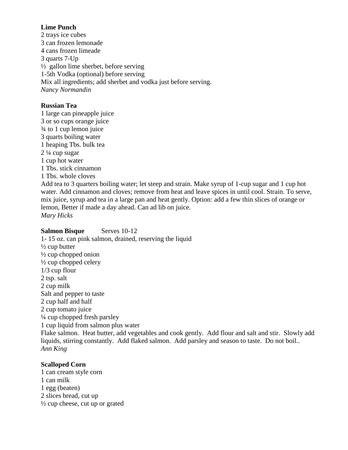#### **Lime Punch**

2 trays ice cubes 3 can frozen lemonade 4 cans frozen limeade 3 quarts 7-Up  $\frac{1}{2}$  gallon lime sherbet, before serving 1-5th Vodka (optional) before serving Mix all ingredients; add sherbet and vodka just before serving. *Nancy Normandin*

#### **Russian Tea**

1 large can pineapple juice 3 or so cups orange juice ¾ to 1 cup lemon juice 3 quarts boiling water 1 heaping Tbs. bulk tea 2 ¼ cup sugar 1 cup hot water 1 Tbs. stick cinnamon 1 Tbs. whole cloves Add tea to 3 quarters boiling water; let steep and strain. Make syrup of 1-cup sugar and 1 cup hot water. Add cinnamon and cloves; remove from heat and leave spices in until cool. Strain. To serve, mix juice, syrup and tea in a large pan and heat gently. Option: add a few thin slices of orange or lemon, Better if made a day ahead. Can ad lib on juice. *Mary Hicks*

## **Salmon Bisque** Serves 10-12

1- 15 oz. can pink salmon, drained, reserving the liquid  $\frac{1}{2}$  cup butter  $\frac{1}{2}$  cup chopped onion  $\frac{1}{2}$  cup chopped celery 1/3 cup flour 2 tsp. salt 2 cup milk Salt and pepper to taste 2 cup half and half 2 cup tomato juice ¼ cup chopped fresh parsley 1 cup liquid from salmon plus water Flake salmon. Heat butter, add vegetables and cook gently. Add flour and salt and stir. Slowly add liquids, stirring constantly. Add flaked salmon. Add parsley and season to taste. Do not boil.. *Ann King*

## **Scalloped Corn**

1 can cream style corn 1 can milk 1 egg (beaten) 2 slices bread, cut up  $\frac{1}{2}$  cup cheese, cut up or grated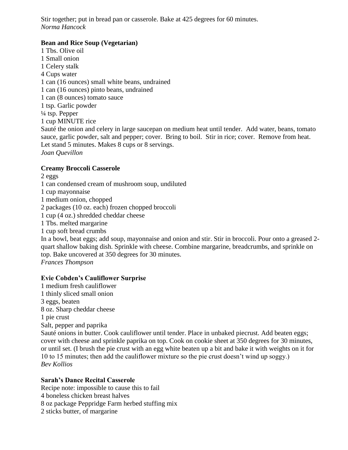Stir together; put in bread pan or casserole. Bake at 425 degrees for 60 minutes. *Norma Hancock* 

## **Bean and Rice Soup (Vegetarian)**

1 Tbs. Olive oil 1 Small onion 1 Celery stalk 4 Cups water 1 can (16 ounces) small white beans, undrained 1 can (16 ounces) pinto beans, undrained 1 can (8 ounces) tomato sauce 1 tsp. Garlic powder ¼ tsp. Pepper 1 cup MINUTE rice Sauté the onion and celery in large saucepan on medium heat until tender. Add water, beans, tomato sauce, garlic powder, salt and pepper; cover. Bring to boil. Stir in rice; cover. Remove from heat. Let stand 5 minutes. Makes 8 cups or 8 servings. *Joan Quevillon*

#### **Creamy Broccoli Casserole**

2 eggs

1 can condensed cream of mushroom soup, undiluted

- 1 cup mayonnaise
- 1 medium onion, chopped

2 packages (10 oz. each) frozen chopped broccoli

- 1 cup (4 oz.) shredded cheddar cheese
- 1 Tbs. melted margarine

1 cup soft bread crumbs

In a bowl, beat eggs; add soup, mayonnaise and onion and stir. Stir in broccoli. Pour onto a greased 2 quart shallow baking dish. Sprinkle with cheese. Combine margarine, breadcrumbs, and sprinkle on top. Bake uncovered at 350 degrees for 30 minutes.

*Frances Thompson*

*Bev Kollios*

## **Evie Cobden's Cauliflower Surprise**

1 medium fresh cauliflower 1 thinly sliced small onion 3 eggs, beaten 8 oz. Sharp cheddar cheese 1 pie crust Salt, pepper and paprika Sauté onions in butter. Cook cauliflower until tender. Place in unbaked piecrust. Add beaten eggs; cover with cheese and sprinkle paprika on top. Cook on cookie sheet at 350 degrees for 30 minutes, or until set. (I brush the pie crust with an egg white beaten up a bit and bake it with weights on it for 10 to 15 minutes; then add the cauliflower mixture so the pie crust doesn't wind up soggy.)

**Sarah's Dance Recital Casserole**

Recipe note: impossible to cause this to fail

- 4 boneless chicken breast halves
- 8 oz package Peppridge Farm herbed stuffing mix
- 2 sticks butter, of margarine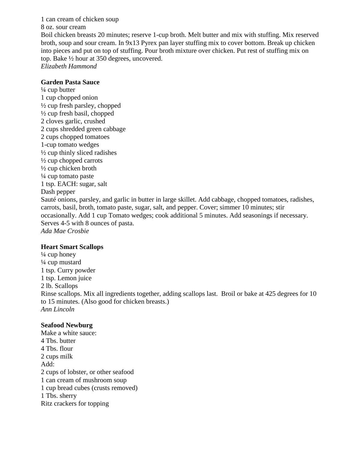1 can cream of chicken soup 8 oz. sour cream Boil chicken breasts 20 minutes; reserve 1-cup broth. Melt butter and mix with stuffing. Mix reserved broth, soup and sour cream. In 9x13 Pyrex pan layer stuffing mix to cover bottom. Break up chicken into pieces and put on top of stuffing. Pour broth mixture over chicken. Put rest of stuffing mix on top. Bake ½ hour at 350 degrees, uncovered. *Elizabeth Hammond*

#### **Garden Pasta Sauce**

 $\frac{1}{4}$  cup butter 1 cup chopped onion ½ cup fresh parsley, chopped ½ cup fresh basil, chopped 2 cloves garlic, crushed 2 cups shredded green cabbage 2 cups chopped tomatoes 1-cup tomato wedges ½ cup thinly sliced radishes  $\frac{1}{2}$  cup chopped carrots  $\frac{1}{2}$  cup chicken broth  $\frac{1}{4}$  cup tomato paste 1 tsp. EACH: sugar, salt Dash pepper Sauté onions, parsley, and garlic in butter in large skillet. Add cabbage, chopped tomatoes, radishes, carrots, basil, broth, tomato paste, sugar, salt, and pepper. Cover; simmer 10 minutes; stir occasionally. Add 1 cup Tomato wedges; cook additional 5 minutes. Add seasonings if necessary. Serves 4-5 with 8 ounces of pasta. *Ada Mae Crosbie*

#### **Heart Smart Scallops**

 $\frac{1}{4}$  cup honey ¼ cup mustard 1 tsp. Curry powder 1 tsp. Lemon juice 2 lb. Scallops Rinse scallops. Mix all ingredients together, adding scallops last. Broil or bake at 425 degrees for 10 to 15 minutes. (Also good for chicken breasts.) *Ann Lincoln*

#### **Seafood Newburg**

Make a white sauce: 4 Tbs. butter 4 Tbs. flour 2 cups milk Add: 2 cups of lobster, or other seafood 1 can cream of mushroom soup 1 cup bread cubes (crusts removed) 1 Tbs. sherry Ritz crackers for topping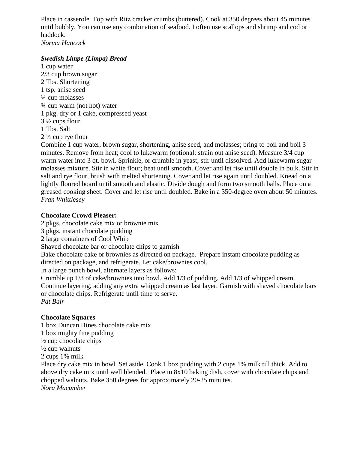Place in casserole. Top with Ritz cracker crumbs (buttered). Cook at 350 degrees about 45 minutes until bubbly. You can use any combination of seafood. I often use scallops and shrimp and cod or haddock.

*Norma Hancock*

#### *Swedish Limpe (Limpa) Bread*

1 cup water 2/3 cup brown sugar 2 Tbs. Shortening 1 tsp. anise seed ¼ cup molasses ¾ cup warm (not hot) water 1 pkg. dry or 1 cake, compressed yeast 3 ½ cups flour 1 Tbs. Salt 2 ¼ cup rye flour

Combine 1 cup water, brown sugar, shortening, anise seed, and molasses; bring to boil and boil 3 minutes. Remove from heat; cool to lukewarm (optional: strain out anise seed). Measure 3/4 cup warm water into 3 qt. bowl. Sprinkle, or crumble in yeast; stir until dissolved. Add lukewarm sugar molasses mixture. Stir in white flour; beat until smooth. Cover and let rise until double in bulk. Stir in salt and rye flour, brush with melted shortening. Cover and let rise again until doubled. Knead on a lightly floured board until smooth and elastic. Divide dough and form two smooth balls. Place on a greased cooking sheet. Cover and let rise until doubled. Bake in a 350-degree oven about 50 minutes. *Fran Whittlesey*

#### **Chocolate Crowd Pleaser:**

2 pkgs. chocolate cake mix or brownie mix

3 pkgs. instant chocolate pudding

2 large containers of Cool Whip

Shaved chocolate bar or chocolate chips to garnish

Bake chocolate cake or brownies as directed on package. Prepare instant chocolate pudding as directed on package, and refrigerate. Let cake/brownies cool.

In a large punch bowl, alternate layers as follows:

Crumble up 1/3 of cake/brownies into bowl. Add 1/3 of pudding. Add 1/3 of whipped cream.

Continue layering, adding any extra whipped cream as last layer. Garnish with shaved chocolate bars or chocolate chips. Refrigerate until time to serve.

*Pat Bair*

## **Chocolate Squares**

1 box Duncan Hines chocolate cake mix 1 box mighty fine pudding  $\frac{1}{2}$  cup chocolate chips  $\frac{1}{2}$  cup walnuts 2 cups 1% milk

Place dry cake mix in bowl. Set aside. Cook 1 box pudding with 2 cups 1% milk till thick. Add to above dry cake mix until well blended. Place in 8x10 baking dish, cover with chocolate chips and chopped walnuts. Bake 350 degrees for approximately 20-25 minutes. *Nora Macumber*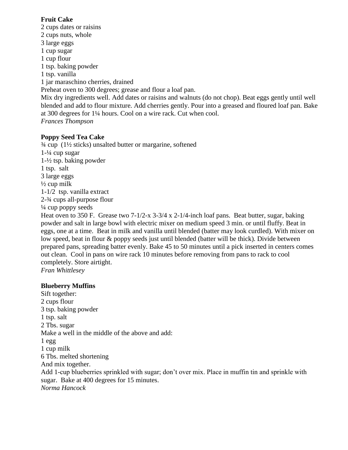#### **Fruit Cake**

2 cups dates or raisins 2 cups nuts, whole 3 large eggs 1 cup sugar 1 cup flour 1 tsp. baking powder 1 tsp. vanilla 1 jar maraschino cherries, drained Preheat oven to 300 degrees; grease and flour a loaf pan. Mix dry ingredients well. Add dates or raisins and walnuts (do not chop). Beat eggs gently until well blended and add to flour mixture. Add cherries gently. Pour into a greased and floured loaf pan. Bake at 300 degrees for 1¼ hours. Cool on a wire rack. Cut when cool. *Frances Thompson*

#### **Poppy Seed Tea Cake**

 $\frac{3}{4}$  cup (1<sup>1</sup>/<sub>2</sub> sticks) unsalted butter or margarine, softened 1-¼ cup sugar 1-½ tsp. baking powder 1 tsp. salt 3 large eggs  $\frac{1}{2}$  cup milk 1-1/2 tsp. vanilla extract 2-¾ cups all-purpose flour  $\frac{1}{4}$  cup poppy seeds Heat oven to 350 F. Grease two 7-1/2-x 3-3/4 x 2-1/4-inch loaf pans. Beat butter, sugar, baking powder and salt in large bowl with electric mixer on medium speed 3 min. or until fluffy. Beat in eggs, one at a time. Beat in milk and vanilla until blended (batter may look curdled). With mixer on low speed, beat in flour & poppy seeds just until blended (batter will be thick). Divide between prepared pans, spreading batter evenly. Bake 45 to 50 minutes until a pick inserted in centers comes out clean. Cool in pans on wire rack 10 minutes before removing from pans to rack to cool completely. Store airtight. *Fran Whittlesey*

# **Blueberry Muffins**

Sift together: 2 cups flour 3 tsp. baking powder 1 tsp. salt 2 Tbs. sugar Make a well in the middle of the above and add:  $1 \text{ egg}$ 1 cup milk 6 Tbs. melted shortening And mix together. Add 1-cup blueberries sprinkled with sugar; don't over mix. Place in muffin tin and sprinkle with sugar. Bake at 400 degrees for 15 minutes. *Norma Hancock*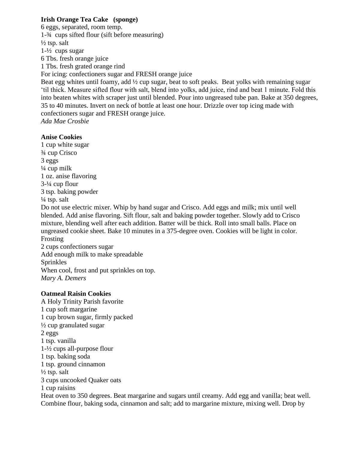#### **Irish Orange Tea Cake (sponge)**

6 eggs, separated, room temp. 1-¾ cups sifted flour (sift before measuring)  $\frac{1}{2}$  tsp. salt 1-½ cups sugar 6 Tbs. fresh orange juice 1 Tbs. fresh grated orange rind For icing: confectioners sugar and FRESH orange juice Beat egg whites until foamy, add  $\frac{1}{2}$  cup sugar, beat to soft peaks. Beat yolks with remaining sugar 'til thick. Measure sifted flour with salt, blend into yolks, add juice, rind and beat 1 minute. Fold this into beaten whites with scraper just until blended. Pour into ungreased tube pan. Bake at 350 degrees,

35 to 40 minutes. Invert on neck of bottle at least one hour. Drizzle over top icing made with confectioners sugar and FRESH orange juice.

*Ada Mae Crosbie*

#### **Anise Cookies**

1 cup white sugar ¾ cup Crisco 3 eggs  $\frac{1}{4}$  cup milk 1 oz. anise flavoring 3-¼ cup flour 3 tsp. baking powder  $\frac{1}{4}$  tsp. salt

Do not use electric mixer. Whip by hand sugar and Crisco. Add eggs and milk; mix until well blended. Add anise flavoring. Sift flour, salt and baking powder together. Slowly add to Crisco mixture, blending well after each addition. Batter will be thick. Roll into small balls. Place on ungreased cookie sheet. Bake 10 minutes in a 375-degree oven. Cookies will be light in color. Frosting

2 cups confectioners sugar Add enough milk to make spreadable Sprinkles When cool, frost and put sprinkles on top. *Mary A. Demers*

#### **Oatmeal Raisin Cookies**

A Holy Trinity Parish favorite 1 cup soft margarine 1 cup brown sugar, firmly packed ½ cup granulated sugar 2 eggs 1 tsp. vanilla 1-½ cups all-purpose flour 1 tsp. baking soda 1 tsp. ground cinnamon  $\frac{1}{2}$  tsp. salt 3 cups uncooked Quaker oats 1 cup raisins Heat oven to 350 degrees. Beat margarine and sugars until creamy. Add egg and vanilla; beat well. Combine flour, baking soda, cinnamon and salt; add to margarine mixture, mixing well. Drop by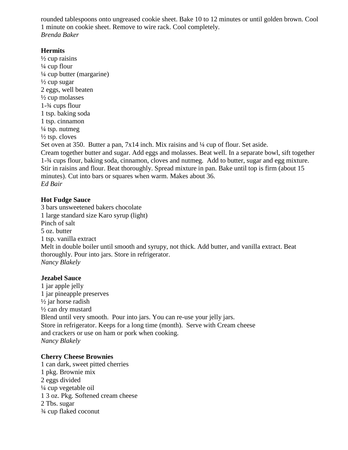rounded tablespoons onto ungreased cookie sheet. Bake 10 to 12 minutes or until golden brown. Cool 1 minute on cookie sheet. Remove to wire rack. Cool completely. *Brenda Baker*

#### **Hermits**

 $\frac{1}{2}$  cup raisins ¼ cup flour ¼ cup butter (margarine)  $\frac{1}{2}$  cup sugar 2 eggs, well beaten ½ cup molasses 1-¾ cups flour 1 tsp. baking soda 1 tsp. cinnamon  $\frac{1}{4}$  tsp. nutmeg  $\frac{1}{2}$  tsp. cloves

Set oven at 350. Butter a pan, 7x14 inch. Mix raisins and  $\frac{1}{4}$  cup of flour. Set aside. Cream together butter and sugar. Add eggs and molasses. Beat well. In a separate bowl, sift together 1-¾ cups flour, baking soda, cinnamon, cloves and nutmeg. Add to butter, sugar and egg mixture. Stir in raisins and flour. Beat thoroughly. Spread mixture in pan. Bake until top is firm (about 15 minutes). Cut into bars or squares when warm. Makes about 36. *Ed Bair*

#### **Hot Fudge Sauce**

3 bars unsweetened bakers chocolate 1 large standard size Karo syrup (light) Pinch of salt 5 oz. butter 1 tsp. vanilla extract Melt in double boiler until smooth and syrupy, not thick. Add butter, and vanilla extract. Beat thoroughly. Pour into jars. Store in refrigerator. *Nancy Blakely*

#### **Jezabel Sauce**

1 jar apple jelly 1 jar pineapple preserves ½ jar horse radish ½ can dry mustard Blend until very smooth. Pour into jars. You can re-use your jelly jars. Store in refrigerator. Keeps for a long time (month). Serve with Cream cheese and crackers or use on ham or pork when cooking. *Nancy Blakely*

#### **Cherry Cheese Brownies**

1 can dark, sweet pitted cherries 1 pkg. Brownie mix 2 eggs divided ¼ cup vegetable oil 1 3 oz. Pkg. Softened cream cheese 2 Tbs. sugar ¾ cup flaked coconut